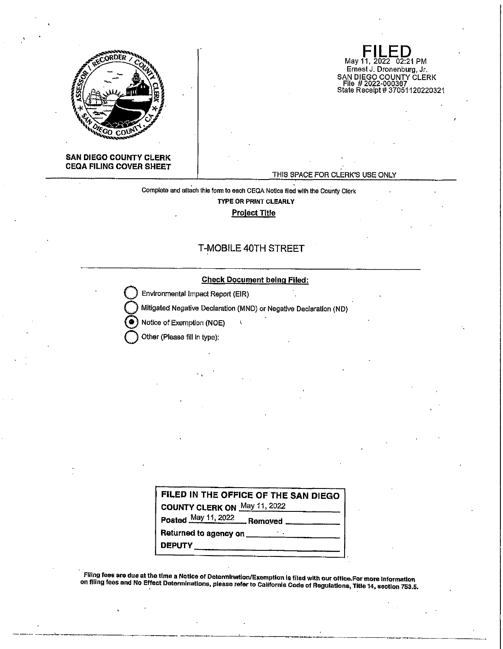

**FILED**<br>May 11, 2022 02:21 PM Ernest J. Dronenburg, Jr. SAN DIEGO COUNTY CLERK<br>\_File # 2022-000367 State Receipt# 37051120220321

#### **SAN DIEGO COUNTY CLERK CEQA FILING COVER SHEET**

#### THIS SPACE FOR CLERK'S USE ONLY

Complete and attach this form to each CEQA Notice filed with the County Clerk **TYPE OR PRINT CLEARLY Project Title** 

# T-MOBILE 40TH STREET

#### **Check Document being Flied:**

**Environmental Impact Report (EIR)** 

Mitigated Negative Declaration (MND) or Negative Declaration (ND)  $\mathbf{I}$ 

@ Notice of Exemption (NDE)

**Other (Please fill in type):** 

| FILED IN THE OFFICE OF THE SAN DIEGO                                                                                                                                                                                                 |
|--------------------------------------------------------------------------------------------------------------------------------------------------------------------------------------------------------------------------------------|
| <b>COUNTY CLERK ON May 11, 2022</b>                                                                                                                                                                                                  |
| Posted May 11, 2022 Removed                                                                                                                                                                                                          |
| Returned to agency on <u>expressive and the set of the set of the set of the set of the set of the set of the set of the set of the set of the set of the set of the set of the set of the set of the set of the set of the set </u> |
| DEPUTY_______                                                                                                                                                                                                                        |

Filling fees are due at the time a Notice of Determination/Exemption Is filed with our office.For more information on filing fees and No Effect Determinations, please refer to Callfornla Code of Regulations, Title 14, section 753.5.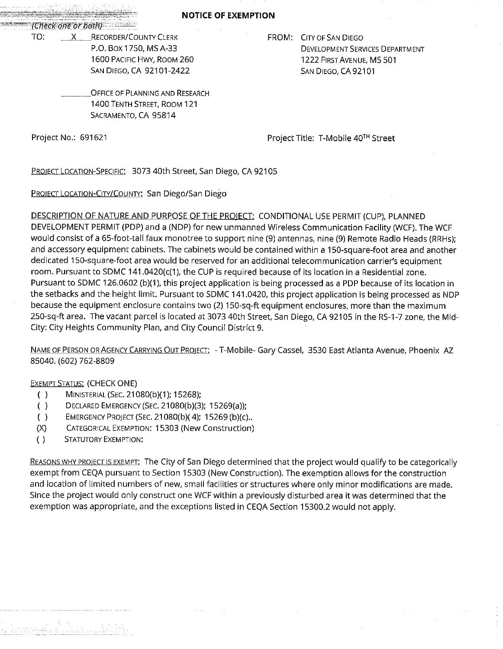**NOTICE OF EXEMPTION** 

&-'-···· *J(1J.e1:1<'Qnew/Jet11J* ·• ··

TO: X RECORDER/COUNTY CLERK P.O. Box 1750, MS A-33 1600 PACIFIC HWY, ROOM 260 SAN DIEGO, CA 92101-2422

# FROM: CITY OF SAN DIEGO DEVELOPMENT SERVICES DEPARTMENT 1222 FIRST AVENUE, MS 501 SAN DIEGO, CA 92101

OFFICE OF PLANNING AND RESEARCH 1400 TENTH STREET, ROOM 121 SACRAMENTO, CA 95814

Project No.: 691621 **Project Title: T-Mobile 40<sup>TH</sup> Street** 

PROIECT LOCATION-SPECIFIC: 3073 40th Street, San Diego, CA 92105

PROIECT LOCATION-CITY/COUNTY: San Diego/San Diego

DESCRIPTION OF NATURE AND PURPOSE OF THE PROIECT: CONDITIONAL USE PERMIT (CUP), PLANNED DEVELOPMENT PERMIT (PDP) and a (NDP) for new unmanned Wireless Communication Facility (WCF). The WCF would consist of a 65-foot-tall faux monotree to support nine (9) antennas, nine (9) Remote Radio Heads (RRHs); and accessory equipment cabinets. The cabinets would be contained within a 150-square-foot area and another dedicated 150-square-foot area would be reserved for an additional telecommunication carrier's equipment room. Pursuant to SDMC 141.0420(c(1), the CUP is required because of its location in a Residential zone. Pursuant to SDMC 126.0602 (b)(1), this project application is being processed as a PDP because of its location in the setbacks and the height limit. Pursuant to SDMC 141.0420, this project application is being processed as NDP because the equipment enclosure contains two (2) 150-sq-ft equipment enclosures, more than the maximum 250-sq-ft area. The vacant parcel is located at 3073 40th Street, San Diego, CA 92105 in the RS-1-7 zone, the Mid-City: City Heights Community Plan, and City Council District 9.

NAME OF PERSON OR AGENCY CARRYING OUT PROJECT: - T-Mobile- Gary Cassel, 3530 East Atlanta Avenue, Phoenix AZ 85040. (602) 762-8809

# **EXEMPT STATUS: (CHECK ONE)**

- ( ) MINISTERIAL (SEC. 21080(b)(1); 15268);
- ( ) DECLARED EMERGENCY (SEC. 21080(b)(3); 15269(a));
- ( ) EMERGENCY PROJECT (SEC. 21080(b)( 4); 15269 (b)(c) ..
- (X) CATEGORICAL EXEMPTION: 15303 (New Construction)
- { ) STATUTORY EXEMPTION:

REASONS WHY PROJECT IS EXEMPT: The City of San Diego determined that the project would qualify to be categorically exempt from CEQA pursuant to Section 15303 (New Construction). The exemption allows for the construction and location of limited numbers of new, small facilities or structures where only minor modifications are made. Since the project would only construct one WCF within a previously disturbed area it was determined that the exemption was appropriate, and the exceptions listed in CEQA Section 15300.2 would not apply.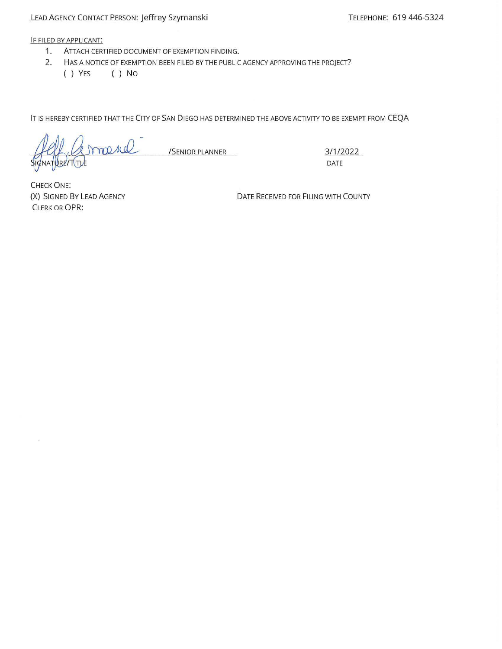### LEAD AGENCY CONTACT PERSON: Jeffrey Szymanski TELEPHONE: 619 446-5324

IF FILED BY APPLICANT:

- 1. ATTACH CERTIFIED DOCUMENT OF EXEMPTION FINDING.
- 2. HAS A NOTICE OF EXEMPTION BEEN FILED BY THE PUBLIC AGENCY APPROVING THE PROJECT?
	- ( ) YES ( ) No

IT IS HEREBY CERTIFIED THAT THE CITY OF SAN DIEGO HAS DETERMINED THE ABOVE ACTIVITY TO BE EXEMPT FROM CEQA

maria /SENIOR PLANNER 3/1/2022 URE TITLE

DATE

**CHECK ONE:** (X) SIGNED BY LEAD AGENCY CLERK OR OPR:

DATE RECEIVED FOR FILING WITH COUNTY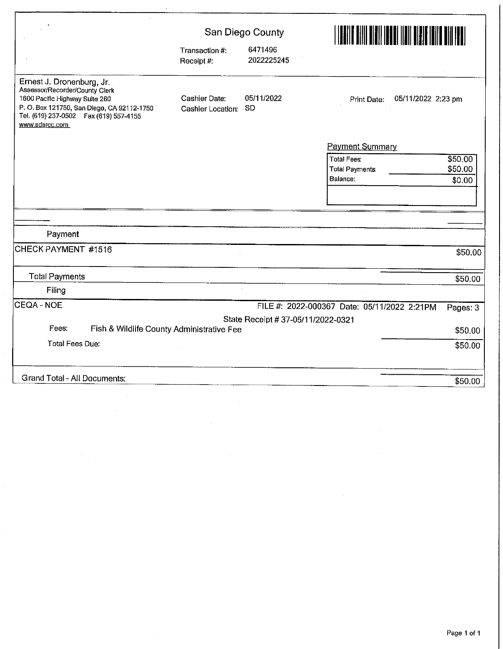|                                                                                                                                                                                                         | San Diego County                          |                                    |                                             | I <b>de formalister for de la formaliste de la formaliste de la formaliste de la formaliste de la formaliste de l</b><br>En 1990, estable de la formaliste de la formaliste de la formaliste de la formaliste de la formaliste de la f |  |  |
|---------------------------------------------------------------------------------------------------------------------------------------------------------------------------------------------------------|-------------------------------------------|------------------------------------|---------------------------------------------|----------------------------------------------------------------------------------------------------------------------------------------------------------------------------------------------------------------------------------------|--|--|
|                                                                                                                                                                                                         | Transaction #:<br>Receipt #:              | 6471496<br>2022225245              |                                             |                                                                                                                                                                                                                                        |  |  |
| Ernest J. Dronenburg, Jr.<br>Assessor/Recorder/County Clerk<br>1600 Pacific Highway Suite 260<br>P.O. Box 121750, San Diego, CA 92112-1750<br>Tel. (619) 237-0502  Fax (619) 557-4155<br>www.sdarcc.com | <b>Cashier Date:</b><br>Cashier Location: | 05/11/2022<br><b>SD</b>            | 05/11/2022 2:23 pm<br>Print Date:           |                                                                                                                                                                                                                                        |  |  |
|                                                                                                                                                                                                         |                                           |                                    | Payment Summary                             |                                                                                                                                                                                                                                        |  |  |
|                                                                                                                                                                                                         |                                           |                                    | <b>Total Fees:</b>                          | \$50.00                                                                                                                                                                                                                                |  |  |
|                                                                                                                                                                                                         |                                           |                                    | <b>Total Payments</b>                       | \$50.00                                                                                                                                                                                                                                |  |  |
|                                                                                                                                                                                                         |                                           |                                    | Balance:                                    | \$0.00                                                                                                                                                                                                                                 |  |  |
|                                                                                                                                                                                                         |                                           |                                    |                                             |                                                                                                                                                                                                                                        |  |  |
|                                                                                                                                                                                                         |                                           |                                    |                                             |                                                                                                                                                                                                                                        |  |  |
| Payment                                                                                                                                                                                                 |                                           |                                    |                                             |                                                                                                                                                                                                                                        |  |  |
| CHECK PAYMENT #1516                                                                                                                                                                                     |                                           |                                    |                                             | \$50.00                                                                                                                                                                                                                                |  |  |
| <b>Total Payments</b>                                                                                                                                                                                   |                                           |                                    |                                             | \$50.00                                                                                                                                                                                                                                |  |  |
| Filing                                                                                                                                                                                                  |                                           |                                    |                                             |                                                                                                                                                                                                                                        |  |  |
| CEQA - NOE                                                                                                                                                                                              |                                           |                                    | FILE #: 2022-000367 Date: 05/11/2022 2:21PM | Pages: 3                                                                                                                                                                                                                               |  |  |
|                                                                                                                                                                                                         |                                           | State Receipt # 37-05/11/2022-0321 |                                             |                                                                                                                                                                                                                                        |  |  |
| Fees:<br>Fish & Wildlife County Administrative Fee                                                                                                                                                      |                                           |                                    |                                             | \$50.00                                                                                                                                                                                                                                |  |  |
| <b>Total Fees Due:</b>                                                                                                                                                                                  |                                           |                                    |                                             | \$50.00                                                                                                                                                                                                                                |  |  |
| Grand Total - All Documents:                                                                                                                                                                            |                                           |                                    |                                             | \$50.00                                                                                                                                                                                                                                |  |  |

 $\sim$   $\sim$ 

 $\hat{\mathcal{A}}$ 

 $\sim$ 

 $\hat{\mathcal{L}}$ 

 $\hat{\mathcal{L}}$ 

 $\sim$ 

 $\sim$ 

Ŷ,

 $\bar{\beta}$ 

 $\mathcal{A}^{\mathcal{A}}$